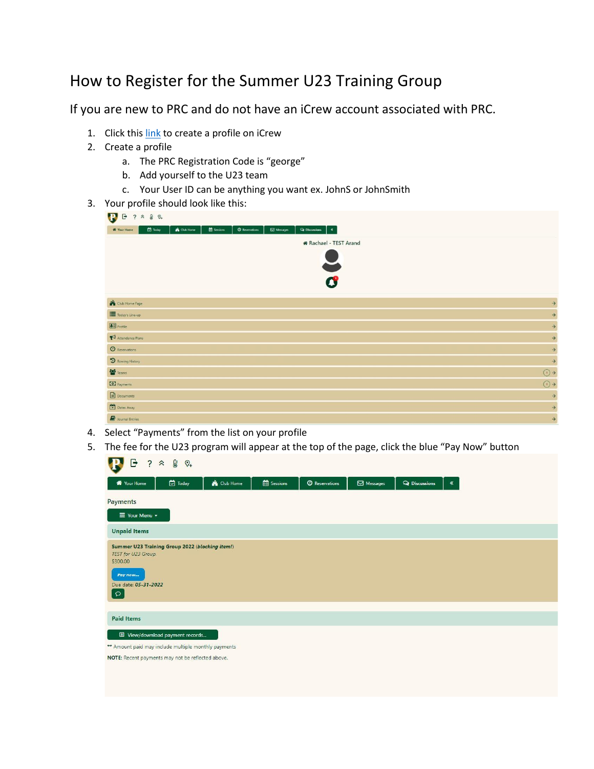## How to Register for the Summer U23 Training Group

If you are new to PRC and do not have an iCrew account associated with PRC.

- 1. Click this [link](https://icrew.club/signup?crewOrg=PRC&crewRegProfile=468f0569-a2c3-2d09-d9c4-d890ff7aedbe) to create a profile on iCrew
- 2. Create a profile
	- a. The PRC Registration Code is "george"
	- b. Add yourself to the U23 team
	- c. Your User ID can be anything you want ex. JohnS or JohnSmith
- 3. Your profile should look like this:

| $\mathbf{B}$<br>$B$ ? $\approx$ 8 $\circ$                                                                                                                                     |                     |
|-------------------------------------------------------------------------------------------------------------------------------------------------------------------------------|---------------------|
| <b>ED</b> Sessions<br>$\tilde{\phantom{a}}$<br>$\Box$ Today<br><b>A</b> Club Home<br>$Q$ Reservations<br>$\boxtimes$ Messages<br>$\mathsf{Q}_\ell$ Discussions<br>W Your Home |                     |
| <b>*</b> Rachael - TEST Arand                                                                                                                                                 |                     |
| Y<br>$\boldsymbol{c}$                                                                                                                                                         |                     |
|                                                                                                                                                                               |                     |
| Club Home Page                                                                                                                                                                | $\rightarrow$       |
| Today's Line-up                                                                                                                                                               | $\rightarrow$       |
| $\left  \frac{1}{2} \right $ Profile                                                                                                                                          | $\rightarrow$       |
| Attendance Plans                                                                                                                                                              | $\rightarrow$       |
| <b>O</b> Reservations                                                                                                                                                         | $\rightarrow$       |
| <b>D</b> Rowing History                                                                                                                                                       | $\rightarrow$       |
| <b>Co</b> Teams                                                                                                                                                               | $\odot \rightarrow$ |
| <b>Q</b> Payments                                                                                                                                                             | $\odot \rightarrow$ |
| $\Box$ Documents                                                                                                                                                              | $\rightarrow$       |
| X Dates Away                                                                                                                                                                  | $\rightarrow$       |
| Journal Entries                                                                                                                                                               | $\rightarrow$       |

- 4. Select "Payments" from the list on your profile
- 5. The fee for the U23 program will appear at the top of the page, click the blue "Pay Now" button

| <b>D</b> Today<br><b>B</b> Sessions<br><b>K</b> Club Home<br><sup>O</sup> Reservations<br>Messages<br><b>Q</b> Discussions<br><b>W</b> Your Home<br>$\ll$<br>Payments<br>$\equiv$ Your Menu $\sim$<br><b>Unpaid Items</b><br>Summer U23 Training Group 2022 (blocking item!)<br>TEST for U23 Group.<br>\$300.00<br>Pay now<br>Due date: 05-31-2022<br>$\circ$<br><b>Paid Items</b><br>图 View/download payment records<br>** Amount paid may include multiple monthly payments<br>NOTE: Recent payments may not be reflected above. | G<br>$\theta$<br>$\overline{\mathbf{c}}$<br>$\hat{\mathcal{X}}$<br>$\mathcal{O}_+$ |  |  |  |
|------------------------------------------------------------------------------------------------------------------------------------------------------------------------------------------------------------------------------------------------------------------------------------------------------------------------------------------------------------------------------------------------------------------------------------------------------------------------------------------------------------------------------------|------------------------------------------------------------------------------------|--|--|--|
|                                                                                                                                                                                                                                                                                                                                                                                                                                                                                                                                    |                                                                                    |  |  |  |
|                                                                                                                                                                                                                                                                                                                                                                                                                                                                                                                                    |                                                                                    |  |  |  |
|                                                                                                                                                                                                                                                                                                                                                                                                                                                                                                                                    |                                                                                    |  |  |  |
|                                                                                                                                                                                                                                                                                                                                                                                                                                                                                                                                    |                                                                                    |  |  |  |
|                                                                                                                                                                                                                                                                                                                                                                                                                                                                                                                                    |                                                                                    |  |  |  |
|                                                                                                                                                                                                                                                                                                                                                                                                                                                                                                                                    |                                                                                    |  |  |  |
|                                                                                                                                                                                                                                                                                                                                                                                                                                                                                                                                    |                                                                                    |  |  |  |
|                                                                                                                                                                                                                                                                                                                                                                                                                                                                                                                                    |                                                                                    |  |  |  |
|                                                                                                                                                                                                                                                                                                                                                                                                                                                                                                                                    |                                                                                    |  |  |  |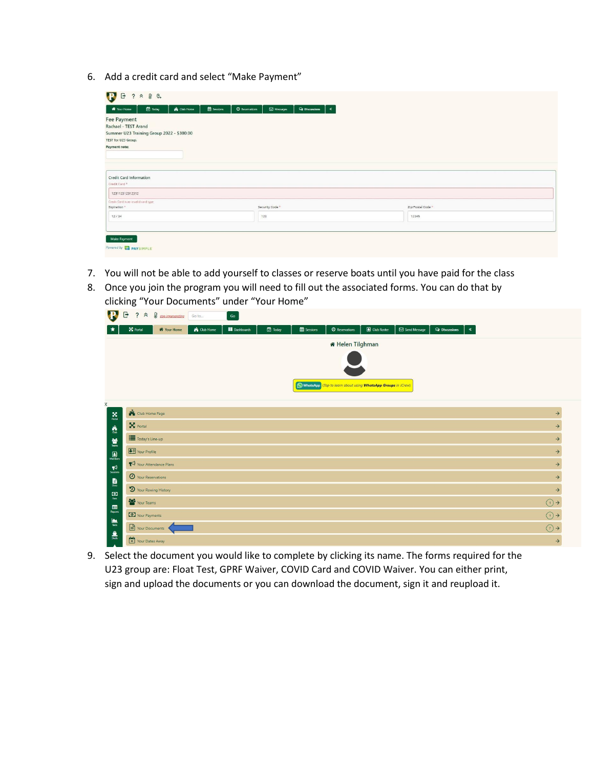6. Add a credit card and select "Make Payment"

| Today<br>Club Home<br>W Your Home                                                       | <b>EE</b> Sessions<br><b>O</b> Reservations<br>$\boxdot$ Messages<br>I∝<br><b>Q</b> Discussions |
|-----------------------------------------------------------------------------------------|-------------------------------------------------------------------------------------------------|
| <b>Fee Payment</b><br>Rachael - TEST Arand<br>Summer U23 Training Group 2022 - \$300.00 |                                                                                                 |
| TEST for U23 Group.                                                                     |                                                                                                 |
| Payment note:                                                                           |                                                                                                 |
|                                                                                         |                                                                                                 |
|                                                                                         |                                                                                                 |
| <b>Credit Card Information</b><br>Credit Card <sup>+</sup>                              |                                                                                                 |
| 123112312312312                                                                         |                                                                                                 |
|                                                                                         |                                                                                                 |
|                                                                                         |                                                                                                 |
| Credit Card is an invalid card type<br>Expiration*<br>12/34                             | Security Code <sup>+</sup><br>123                                                               |

- 7. You will not be able to add yourself to classes or reserve boats until you have paid for the class
- 8. Once you join the program you will need to fill out the associated forms. You can do that by clicking "Your Documents" under "Your Home"

| W                                                           | G<br>$\frac{1}{2}$ $\hat{\lambda}$ $\hat{\theta}$ stop impersonating | Go to              | $\mathsf{Go}$       |                |          |                                                                |             |              |                      |                                      |                     |
|-------------------------------------------------------------|----------------------------------------------------------------------|--------------------|---------------------|----------------|----------|----------------------------------------------------------------|-------------|--------------|----------------------|--------------------------------------|---------------------|
|                                                             | X Portal<br>₩ Your Home                                              | <b>A</b> Club Home | <b>B</b> Dashboards | <b>D</b> Today | Sessions | <b>O</b> Reservations                                          | Club Roster | Send Message | <b>Q</b> Discussions | $\langle \langle \mathbf{x} \rangle$ |                     |
|                                                             |                                                                      |                    |                     |                |          | <b>* Helen Tilghman</b>                                        |             |              |                      |                                      |                     |
|                                                             |                                                                      |                    |                     |                |          |                                                                |             |              |                      |                                      |                     |
|                                                             |                                                                      |                    |                     |                |          | C WhatsApp (Tap to learn about using WhatsApp Groups in iCrew) |             |              |                      |                                      |                     |
| $\ddot{\mathbf{x}}$                                         |                                                                      |                    |                     |                |          |                                                                |             |              |                      |                                      |                     |
| $\mathbf{X}$                                                | Club Home Page                                                       |                    |                     |                |          |                                                                |             |              |                      |                                      | $\rightarrow$       |
| $\hat{\mathbf{r}}_a$                                        | $\mathbf{X}$ Portal                                                  |                    |                     |                |          |                                                                |             |              |                      |                                      | $\rightarrow$       |
| $\frac{38}{\pi}$                                            | Today's Line-up                                                      |                    |                     |                |          |                                                                |             |              |                      |                                      | $\rightarrow$       |
| $\begin{array}{c} \hline \mathbf{a} \end{array}$<br>Members | Your Profile                                                         |                    |                     |                |          |                                                                |             |              |                      |                                      | $\rightarrow$       |
| R                                                           | Your Attendance Plans                                                |                    |                     |                |          |                                                                |             |              |                      |                                      | $\rightarrow$       |
| $\blacksquare$                                              | <sup>O</sup> Your Reservations                                       |                    |                     |                |          |                                                                |             |              |                      |                                      | $\rightarrow$       |
| $\frac{1}{1}$                                               | D Your Rowing History                                                |                    |                     |                |          |                                                                |             |              |                      |                                      | $\rightarrow$       |
| $\qquad \qquad \blacksquare$                                | Your Teams                                                           |                    |                     |                |          |                                                                |             |              |                      |                                      | $\odot \rightarrow$ |
| Reports                                                     | Vour Payments                                                        |                    |                     |                |          |                                                                |             |              |                      |                                      | $\odot \rightarrow$ |
| $\frac{\sum_{\text{Test}}}{\sum_{\text{Test}}}\frac{1}{n}$  | Your Documents                                                       |                    |                     |                |          |                                                                |             |              |                      |                                      | $\bigcirc$          |
| $\frac{\partial}{\partial x^2}$                             | Your Dates Away                                                      |                    |                     |                |          |                                                                |             |              |                      |                                      | $\rightarrow$       |

9. Select the document you would like to complete by clicking its name. The forms required for the U23 group are: Float Test, GPRF Waiver, COVID Card and COVID Waiver. You can either print, sign and upload the documents or you can download the document, sign it and reupload it.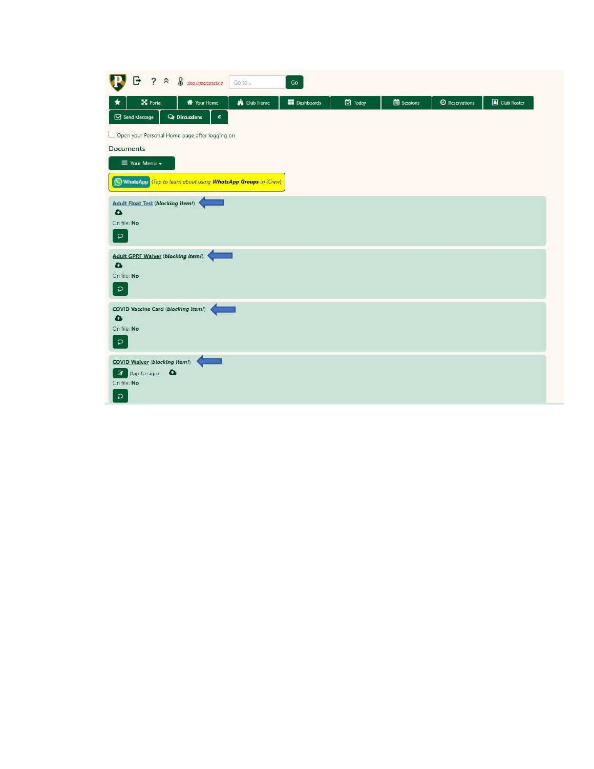| G<br>$? <$ $\frac{1}{\sqrt{3}}$ stop impersonating                                                                                                                                                                     | Go<br>Go to                                |                |          |                       |             |
|------------------------------------------------------------------------------------------------------------------------------------------------------------------------------------------------------------------------|--------------------------------------------|----------------|----------|-----------------------|-------------|
| X Portal<br><b>W</b> Your Home                                                                                                                                                                                         | <b>K</b> Club Home<br><b>AR</b> Dashboards | <b>D</b> Today | Sessions | <b>O</b> Reservations | Club Roster |
| Send Message<br><b>Q</b> Discussions<br>$\ll$                                                                                                                                                                          |                                            |                |          |                       |             |
| Open your Personal Home page after logging on                                                                                                                                                                          |                                            |                |          |                       |             |
| <b>Documents</b>                                                                                                                                                                                                       |                                            |                |          |                       |             |
| $\equiv$ Your Menu $\sim$                                                                                                                                                                                              |                                            |                |          |                       |             |
| WhatsApp (Tap to learn about using WhatsApp Groups in iCrew)                                                                                                                                                           |                                            |                |          |                       |             |
| On file: No<br>$\mathsf{D}$<br>Adult GPRF Waiver (blocking item!)<br>$\bullet$<br>On file: No<br>$\mathsf{D}% _{\mathcal{A}}\left( \mathcal{A}_{1}\right) \equiv\mathsf{D}_{\mathcal{A}}\left( \mathcal{A}_{2}\right)$ |                                            |                |          |                       |             |
| <b>COVID Vaccine Card (blocking item!)</b><br>$\bullet$<br>On file: No<br>$\hbox{$\circ$}$                                                                                                                             |                                            |                |          |                       |             |
| <b>COVID Waiver (blocking item!)</b><br><b>C</b> (tap to sign)<br>On file: No<br>$\circ$                                                                                                                               |                                            |                |          |                       |             |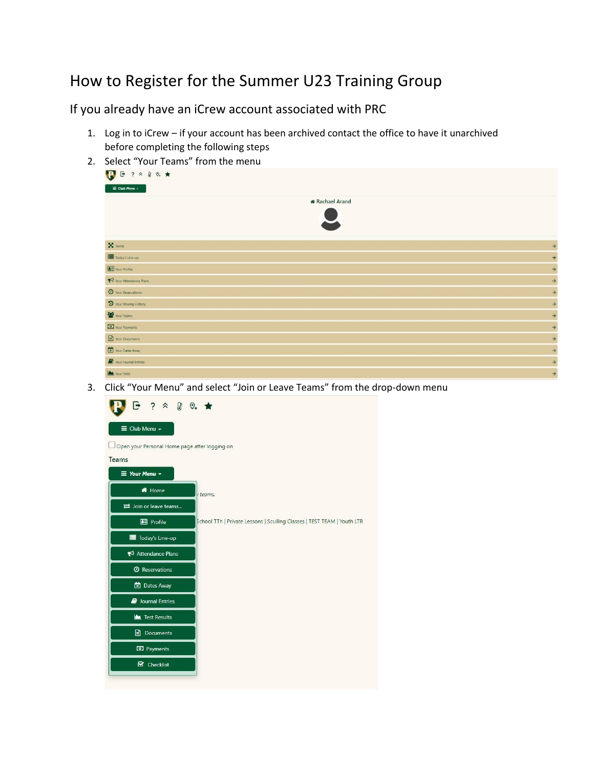## How to Register for the Summer U23 Training Group

If you already have an iCrew account associated with PRC

- 1. Log in to iCrew if your account has been archived contact the office to have it unarchived before completing the following steps
- 2. Select "Your Teams" from the menu

| $B$ ? $A$ & $Q_+$ $\star$<br>$\overline{\mathbf{v}}$ |                        |
|------------------------------------------------------|------------------------|
| $\equiv$ Club Menu $\sim$                            |                        |
|                                                      | <b>*</b> Rachael Arand |
| $\mathbf{X}$ Portal                                  | $\rightarrow$          |
| Today's Line-up                                      | $\rightarrow$          |
| Your Profile                                         | $\rightarrow$          |
| Your Attendance Plans                                | $\rightarrow$          |
| O Your Reservations                                  | $\rightarrow$          |
| D Your Rowing History                                | $\rightarrow$          |
| Your Teams                                           | $\rightarrow$          |
| Vour Payments                                        | $\rightarrow$          |
| Your Documents                                       | $\rightarrow$          |
| Your Dates Away                                      | $\rightarrow$          |
| Your Journal Entries                                 | $\rightarrow$          |
| Your Tests                                           | $\rightarrow$          |

3. Click "Your Menu" and select "Join or Leave Teams" from the drop-down menu

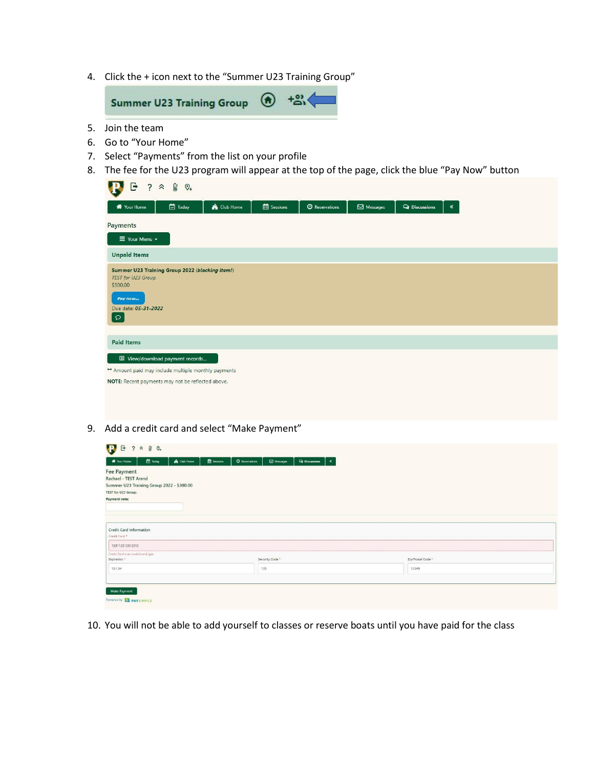4. Click the + icon next to the "Summer U23 Training Group"



- 5. Join the team
- 6. Go to "Your Home"
- 7. Select "Payments" from the list on your profile
- 8. The fee for the U23 program will appear at the top of the page, click the blue "Pay Now" button

| G<br>$\ddot{?}$                                                                                                                  | $\theta$<br>$\hat{\mathcal{X}}$<br>$\mathcal{O}_+$ |                    |                   |                           |                    |                      |       |
|----------------------------------------------------------------------------------------------------------------------------------|----------------------------------------------------|--------------------|-------------------|---------------------------|--------------------|----------------------|-------|
| <b>W</b> Your Home                                                                                                               | <b>D</b> Today                                     | <b>K</b> Club Home | <b>B</b> Sessions | <sup>O</sup> Reservations | $\boxdot$ Messages | <b>Q</b> Discussions | $\ll$ |
| Payments                                                                                                                         |                                                    |                    |                   |                           |                    |                      |       |
| $\equiv$ Your Menu $\sim$                                                                                                        |                                                    |                    |                   |                           |                    |                      |       |
| <b>Unpaid Items</b>                                                                                                              |                                                    |                    |                   |                           |                    |                      |       |
| Summer U23 Training Group 2022 (blocking item!)<br>TEST for U23 Group.<br>\$300.00<br>Pay now<br>Due date: 05-31-2022<br>$\circ$ |                                                    |                    |                   |                           |                    |                      |       |
| <b>Paid Items</b>                                                                                                                |                                                    |                    |                   |                           |                    |                      |       |
|                                                                                                                                  | ■ View/download payment records                    |                    |                   |                           |                    |                      |       |
| ** Amount paid may include multiple monthly payments                                                                             |                                                    |                    |                   |                           |                    |                      |       |
| NOTE: Recent payments may not be reflected above.                                                                                |                                                    |                    |                   |                           |                    |                      |       |
|                                                                                                                                  |                                                    |                    |                   |                           |                    |                      |       |
|                                                                                                                                  |                                                    |                    |                   |                           |                    |                      |       |

9. Add a credit card and select "Make Payment"

| Today<br>Club Home<br>W Your Home                   | <b>EE</b> Sessions<br>$\sim$<br><sup>O</sup> Reservations<br>$\boxdot$ Messages<br><b>Q</b> Discussions |                   |
|-----------------------------------------------------|---------------------------------------------------------------------------------------------------------|-------------------|
| <b>Fee Payment</b>                                  |                                                                                                         |                   |
| Rachael - TEST Arand                                |                                                                                                         |                   |
| Summer U23 Training Group 2022 - \$300.00           |                                                                                                         |                   |
| TEST for U23 Group.                                 |                                                                                                         |                   |
| Payment note:                                       |                                                                                                         |                   |
|                                                     |                                                                                                         |                   |
|                                                     |                                                                                                         |                   |
|                                                     |                                                                                                         |                   |
| Credit Card Information<br>Credit Card <sup>*</sup> |                                                                                                         |                   |
|                                                     |                                                                                                         |                   |
| 123112312312312                                     |                                                                                                         |                   |
|                                                     |                                                                                                         |                   |
| Credit Card is an invalid card type                 |                                                                                                         | Zip/Postal Code * |
| Expiration*                                         | Security Code *                                                                                         |                   |
| 12/34                                               | 123                                                                                                     | 12345             |
|                                                     |                                                                                                         |                   |
|                                                     |                                                                                                         |                   |

10. You will not be able to add yourself to classes or reserve boats until you have paid for the class